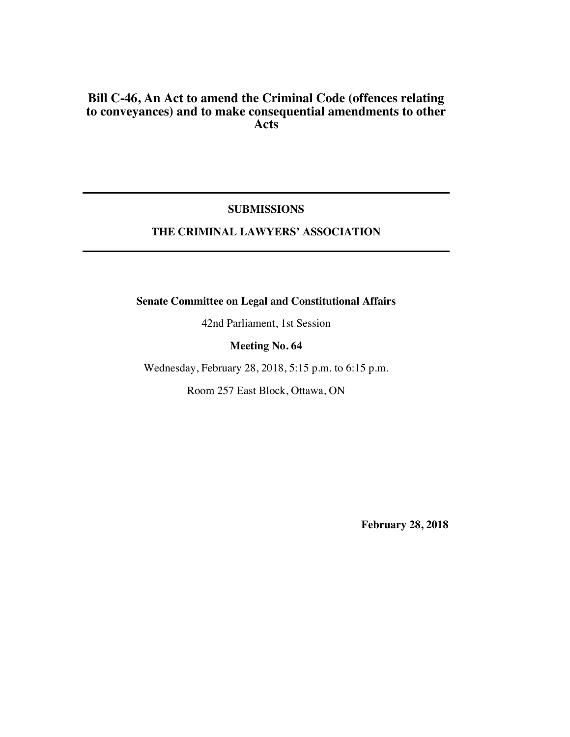# **Bill C-46, An Act to amend the Criminal Code (offences relating to conveyances) and to make consequential amendments to other Acts**

### **SUBMISSIONS**

# **THE CRIMINAL LAWYERS' ASSOCIATION**

**Senate Committee on Legal and Constitutional Affairs**

42nd Parliament, 1st Session

## **Meeting No. 64**

Wednesday, February 28, 2018, 5:15 p.m. to 6:15 p.m.

Room 257 East Block, Ottawa, ON

**February 28, 2018**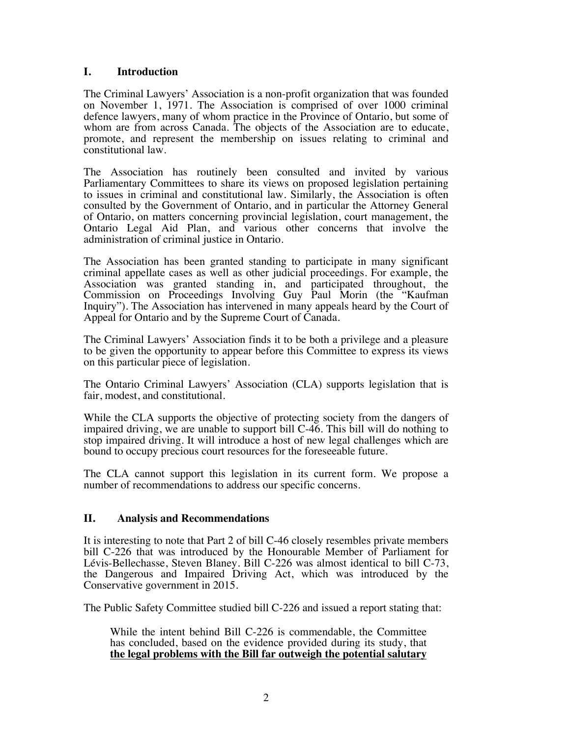## **I. Introduction**

The Criminal Lawyers' Association is a non-profit organization that was founded on November 1, 1971. The Association is comprised of over 1000 criminal defence lawyers, many of whom practice in the Province of Ontario, but some of whom are from across Canada. The objects of the Association are to educate, promote, and represent the membership on issues relating to criminal and constitutional law.

The Association has routinely been consulted and invited by various Parliamentary Committees to share its views on proposed legislation pertaining to issues in criminal and constitutional law. Similarly, the Association is often consulted by the Government of Ontario, and in particular the Attorney General of Ontario, on matters concerning provincial legislation, court management, the Ontario Legal Aid Plan, and various other concerns that involve the administration of criminal justice in Ontario.

The Association has been granted standing to participate in many significant criminal appellate cases as well as other judicial proceedings. For example, the Association was granted standing in, and participated throughout, the Commission on Proceedings Involving Guy Paul Morin (the "Kaufman Inquiry"). The Association has intervened in many appeals heard by the Court of Appeal for Ontario and by the Supreme Court of Canada.

The Criminal Lawyers' Association finds it to be both a privilege and a pleasure to be given the opportunity to appear before this Committee to express its views on this particular piece of legislation.

The Ontario Criminal Lawyers' Association (CLA) supports legislation that is fair, modest, and constitutional.

While the CLA supports the objective of protecting society from the dangers of impaired driving, we are unable to support bill C-46. This bill will do nothing to stop impaired driving. It will introduce a host of new legal challenges which are bound to occupy precious court resources for the foreseeable future.

The CLA cannot support this legislation in its current form. We propose a number of recommendations to address our specific concerns.

## **II. Analysis and Recommendations**

It is interesting to note that Part 2 of bill C-46 closely resembles private members bill C-226 that was introduced by the Honourable Member of Parliament for Lévis-Bellechasse, Steven Blaney. Bill C-226 was almost identical to bill C-73, the Dangerous and Impaired Driving Act, which was introduced by the Conservative government in 2015.

The Public Safety Committee studied bill C-226 and issued a report stating that:

While the intent behind Bill C-226 is commendable, the Committee has concluded, based on the evidence provided during its study, that **the legal problems with the Bill far outweigh the potential salutary**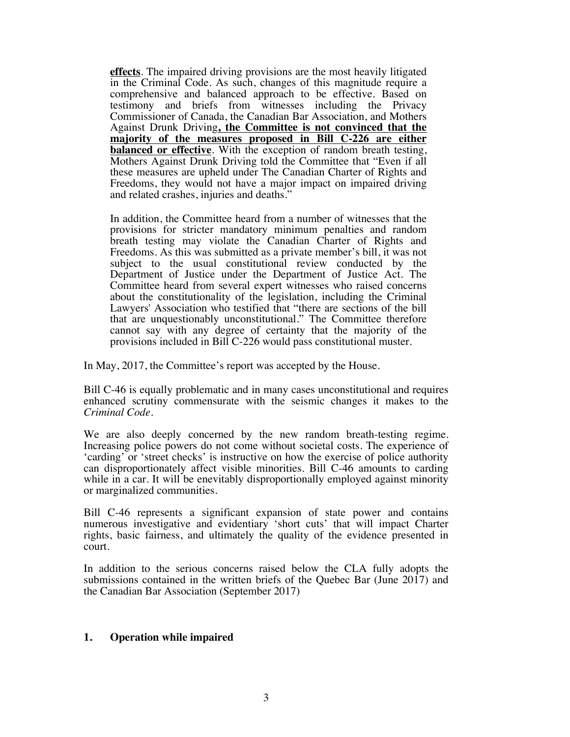**effects**. The impaired driving provisions are the most heavily litigated in the Criminal Code. As such, changes of this magnitude require a comprehensive and balanced approach to be effective. Based on testimony and briefs from witnesses including the Privacy Commissioner of Canada, the Canadian Bar Association, and Mothers Against Drunk Driving**, the Committee is not convinced that the majority of the measures proposed in Bill C-226 are either balanced or effective**. With the exception of random breath testing, Mothers Against Drunk Driving told the Committee that "Even if all these measures are upheld under The Canadian Charter of Rights and Freedoms, they would not have a major impact on impaired driving and related crashes, injuries and deaths."

In addition, the Committee heard from a number of witnesses that the provisions for stricter mandatory minimum penalties and random breath testing may violate the Canadian Charter of Rights and Freedoms. As this was submitted as a private member's bill, it was not subject to the usual constitutional review conducted by the Department of Justice under the Department of Justice Act. The Committee heard from several expert witnesses who raised concerns about the constitutionality of the legislation, including the Criminal Lawyers' Association who testified that "there are sections of the bill that are unquestionably unconstitutional." The Committee therefore cannot say with any degree of certainty that the majority of the provisions included in Bill C-226 would pass constitutional muster.

In May, 2017, the Committee's report was accepted by the House.

Bill C-46 is equally problematic and in many cases unconstitutional and requires enhanced scrutiny commensurate with the seismic changes it makes to the *Criminal Code*.

We are also deeply concerned by the new random breath-testing regime. Increasing police powers do not come without societal costs. The experience of 'carding' or 'street checks' is instructive on how the exercise of police authority can disproportionately affect visible minorities. Bill C-46 amounts to carding while in a car. It will be enevitably disproportionally employed against minority or marginalized communities.

Bill C-46 represents a significant expansion of state power and contains numerous investigative and evidentiary 'short cuts' that will impact Charter rights, basic fairness, and ultimately the quality of the evidence presented in court.

In addition to the serious concerns raised below the CLA fully adopts the submissions contained in the written briefs of the Quebec Bar (June 2017) and the Canadian Bar Association (September 2017)

## **1. Operation while impaired**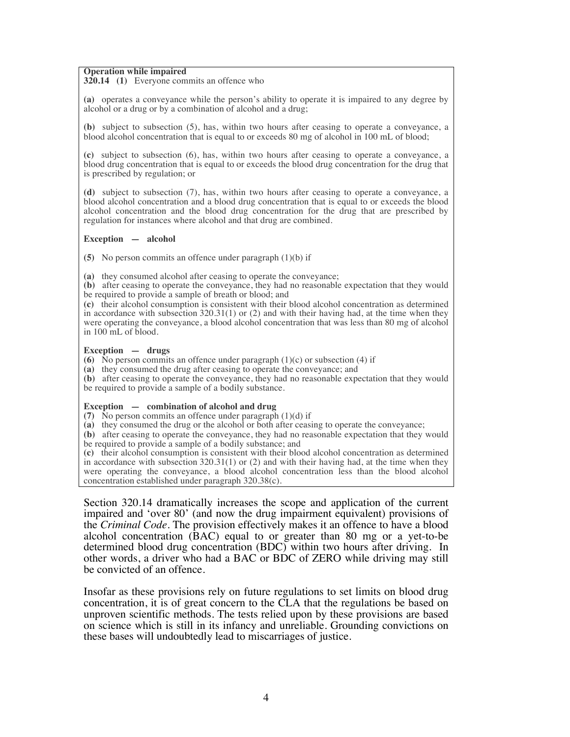#### **Operation while impaired**

**320.14 (1)** Everyone commits an offence who

**(a)** operates a conveyance while the person's ability to operate it is impaired to any degree by alcohol or a drug or by a combination of alcohol and a drug;

**(b)** subject to subsection (5), has, within two hours after ceasing to operate a conveyance, a blood alcohol concentration that is equal to or exceeds 80 mg of alcohol in 100 mL of blood;

**(c)** subject to subsection (6), has, within two hours after ceasing to operate a conveyance, a blood drug concentration that is equal to or exceeds the blood drug concentration for the drug that is prescribed by regulation; or

**(d)** subject to subsection (7), has, within two hours after ceasing to operate a conveyance, a blood alcohol concentration and a blood drug concentration that is equal to or exceeds the blood alcohol concentration and the blood drug concentration for the drug that are prescribed by regulation for instances where alcohol and that drug are combined.

#### **Exception—alcohol**

**(5)** No person commits an offence under paragraph (1)(b) if

**(a)** they consumed alcohol after ceasing to operate the conveyance;

**(b)** after ceasing to operate the conveyance, they had no reasonable expectation that they would be required to provide a sample of breath or blood; and

**(c)** their alcohol consumption is consistent with their blood alcohol concentration as determined in accordance with subsection  $320.31(1)$  or (2) and with their having had, at the time when they were operating the conveyance, a blood alcohol concentration that was less than 80 mg of alcohol in 100 mL of blood.

#### **Exception—drugs**

**(6)** No person commits an offence under paragraph  $(1)(c)$  or subsection (4) if

**(a)** they consumed the drug after ceasing to operate the conveyance; and

**(b)** after ceasing to operate the conveyance, they had no reasonable expectation that they would be required to provide a sample of a bodily substance.

#### **Exception — combination of alcohol and drug**

**(7)** No person commits an offence under paragraph  $(1)(d)$  if

**(a)** they consumed the drug or the alcohol or both after ceasing to operate the conveyance;

**(b)** after ceasing to operate the conveyance, they had no reasonable expectation that they would be required to provide a sample of a bodily substance; and

**(c)** their alcohol consumption is consistent with their blood alcohol concentration as determined in accordance with subsection  $320.31(1)$  or (2) and with their having had, at the time when they were operating the conveyance, a blood alcohol concentration less than the blood alcohol concentration established under paragraph 320.38(c).

Section 320.14 dramatically increases the scope and application of the current impaired and 'over 80' (and now the drug impairment equivalent) provisions of the *Criminal Code*. The provision effectively makes it an offence to have a blood alcohol concentration (BAC) equal to or greater than 80 mg or a yet-to-be determined blood drug concentration (BDC) within two hours after driving. In other words, a driver who had a BAC or BDC of ZERO while driving may still be convicted of an offence.

Insofar as these provisions rely on future regulations to set limits on blood drug concentration, it is of great concern to the CLA that the regulations be based on unproven scientific methods. The tests relied upon by these provisions are based on science which is still in its infancy and unreliable. Grounding convictions on these bases will undoubtedly lead to miscarriages of justice.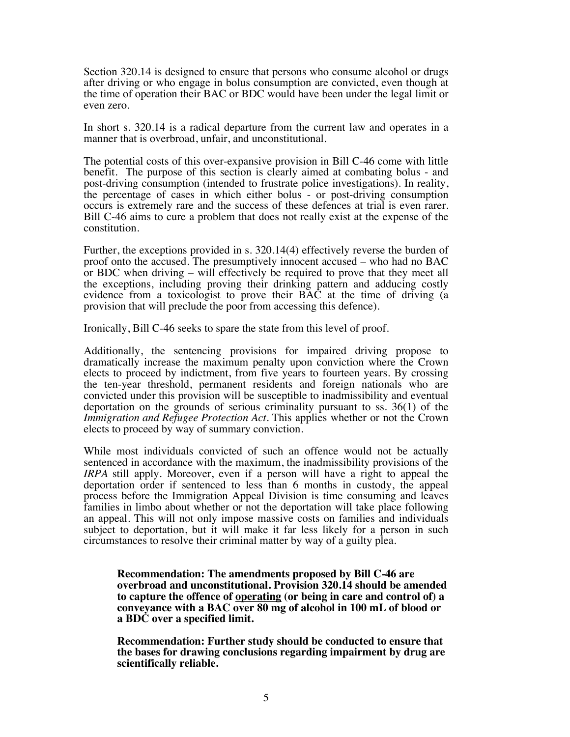Section 320.14 is designed to ensure that persons who consume alcohol or drugs after driving or who engage in bolus consumption are convicted, even though at the time of operation their BAC or BDC would have been under the legal limit or even zero.

In short s. 320.14 is a radical departure from the current law and operates in a manner that is overbroad, unfair, and unconstitutional.

The potential costs of this over-expansive provision in Bill C-46 come with little benefit. The purpose of this section is clearly aimed at combating bolus - and post-driving consumption (intended to frustrate police investigations). In reality, the percentage of cases in which either bolus - or post-driving consumption occurs is extremely rare and the success of these defences at trial is even rarer. Bill C-46 aims to cure a problem that does not really exist at the expense of the constitution.

Further, the exceptions provided in s. 320.14(4) effectively reverse the burden of proof onto the accused. The presumptively innocent accused – who had no BAC or BDC when driving – will effectively be required to prove that they meet all the exceptions, including proving their drinking pattern and adducing costly evidence from a toxicologist to prove their BAC at the time of driving (a provision that will preclude the poor from accessing this defence).

Ironically, Bill C-46 seeks to spare the state from this level of proof.

Additionally, the sentencing provisions for impaired driving propose to dramatically increase the maximum penalty upon conviction where the Crown elects to proceed by indictment, from five years to fourteen years. By crossing the ten-year threshold, permanent residents and foreign nationals who are convicted under this provision will be susceptible to inadmissibility and eventual deportation on the grounds of serious criminality pursuant to ss. 36(1) of the *Immigration and Refugee Protection Act.* This applies whether or not the Crown elects to proceed by way of summary conviction.

While most individuals convicted of such an offence would not be actually sentenced in accordance with the maximum, the inadmissibility provisions of the *IRPA* still apply. Moreover, even if a person will have a right to appeal the deportation order if sentenced to less than 6 months in custody, the appeal process before the Immigration Appeal Division is time consuming and leaves families in limbo about whether or not the deportation will take place following an appeal. This will not only impose massive costs on families and individuals subject to deportation, but it will make it far less likely for a person in such circumstances to resolve their criminal matter by way of a guilty plea.

**Recommendation: The amendments proposed by Bill C-46 are overbroad and unconstitutional. Provision 320.14 should be amended to capture the offence of operating (or being in care and control of) a conveyance with a BAC over 80 mg of alcohol in 100 mL of blood or a BDC over a specified limit.** 

**Recommendation: Further study should be conducted to ensure that the bases for drawing conclusions regarding impairment by drug are scientifically reliable.**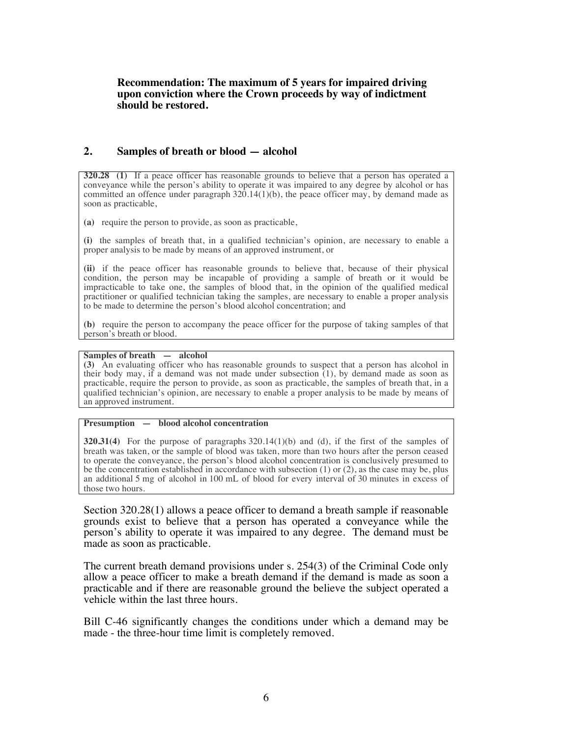### **Recommendation: The maximum of 5 years for impaired driving upon conviction where the Crown proceeds by way of indictment should be restored.**

### **2. Samples of breath or blood — alcohol**

**320.28 (1)** If a peace officer has reasonable grounds to believe that a person has operated a conveyance while the person's ability to operate it was impaired to any degree by alcohol or has committed an offence under paragraph  $320.14(1)(b)$ , the peace officer may, by demand made as soon as practicable,

**(a)** require the person to provide, as soon as practicable,

**(i)** the samples of breath that, in a qualified technician's opinion, are necessary to enable a proper analysis to be made by means of an approved instrument, or

**(ii)** if the peace officer has reasonable grounds to believe that, because of their physical condition, the person may be incapable of providing a sample of breath or it would be impracticable to take one, the samples of blood that, in the opinion of the qualified medical practitioner or qualified technician taking the samples, are necessary to enable a proper analysis to be made to determine the person's blood alcohol concentration; and

**(b)** require the person to accompany the peace officer for the purpose of taking samples of that person's breath or blood.

#### **Samples of breath** — alcohol

**(3)** An evaluating officer who has reasonable grounds to suspect that a person has alcohol in their body may, if a demand was not made under subsection  $(1)$ , by demand made as soon as practicable, require the person to provide, as soon as practicable, the samples of breath that, in a qualified technician's opinion, are necessary to enable a proper analysis to be made by means of an approved instrument.

#### **Presumption—blood alcohol concentration**

**320.31(4)** For the purpose of paragraphs 320.14(1)(b) and (d), if the first of the samples of breath was taken, or the sample of blood was taken, more than two hours after the person ceased to operate the conveyance, the person's blood alcohol concentration is conclusively presumed to be the concentration established in accordance with subsection (1) or (2), as the case may be, plus an additional 5 mg of alcohol in 100 mL of blood for every interval of 30 minutes in excess of those two hours.

Section 320.28(1) allows a peace officer to demand a breath sample if reasonable grounds exist to believe that a person has operated a conveyance while the person's ability to operate it was impaired to any degree. The demand must be made as soon as practicable.

The current breath demand provisions under s. 254(3) of the Criminal Code only allow a peace officer to make a breath demand if the demand is made as soon a practicable and if there are reasonable ground the believe the subject operated a vehicle within the last three hours.

Bill C-46 significantly changes the conditions under which a demand may be made - the three-hour time limit is completely removed.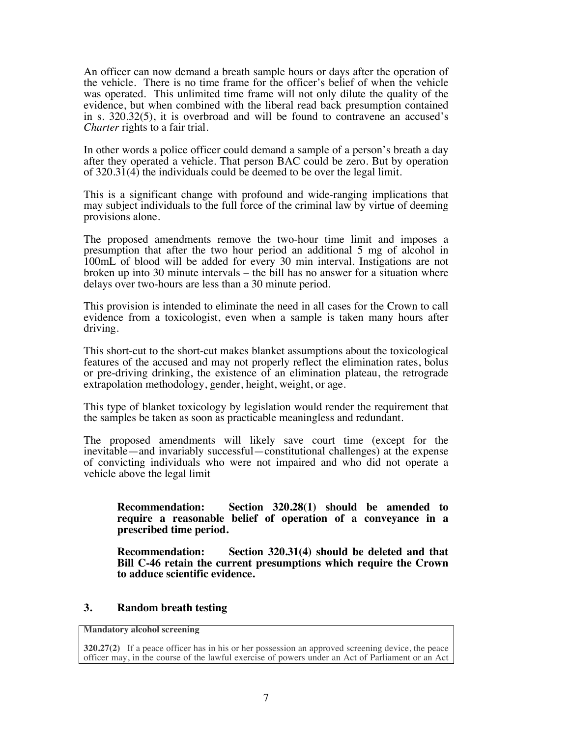An officer can now demand a breath sample hours or days after the operation of the vehicle. There is no time frame for the officer's belief of when the vehicle was operated. This unlimited time frame will not only dilute the quality of the evidence, but when combined with the liberal read back presumption contained in s. 320.32(5), it is overbroad and will be found to contravene an accused's *Charter* rights to a fair trial.

In other words a police officer could demand a sample of a person's breath a day after they operated a vehicle. That person BAC could be zero. But by operation of 320.31(4) the individuals could be deemed to be over the legal limit.

This is a significant change with profound and wide-ranging implications that may subject individuals to the full force of the criminal law by virtue of deeming provisions alone.

The proposed amendments remove the two-hour time limit and imposes a presumption that after the two hour period an additional 5 mg of alcohol in 100mL of blood will be added for every 30 min interval. Instigations are not broken up into 30 minute intervals – the bill has no answer for a situation where delays over two-hours are less than a 30 minute period.

This provision is intended to eliminate the need in all cases for the Crown to call evidence from a toxicologist, even when a sample is taken many hours after driving.

This short-cut to the short-cut makes blanket assumptions about the toxicological features of the accused and may not properly reflect the elimination rates, bolus or pre-driving drinking, the existence of an elimination plateau, the retrograde extrapolation methodology, gender, height, weight, or age.

This type of blanket toxicology by legislation would render the requirement that the samples be taken as soon as practicable meaningless and redundant.

The proposed amendments will likely save court time (except for the inevitable—and invariably successful—constitutional challenges) at the expense of convicting individuals who were not impaired and who did not operate a vehicle above the legal limit

**Recommendation: Section 320.28(1) should be amended to require a reasonable belief of operation of a conveyance in a prescribed time period.**

**Recommendation: Section 320.31(4) should be deleted and that Bill C-46 retain the current presumptions which require the Crown to adduce scientific evidence.**

## **3. Random breath testing**

**Mandatory alcohol screening**

**<sup>320.27(2)</sup>** If a peace officer has in his or her possession an approved screening device, the peace officer may, in the course of the lawful exercise of powers under an Act of Parliament or an Act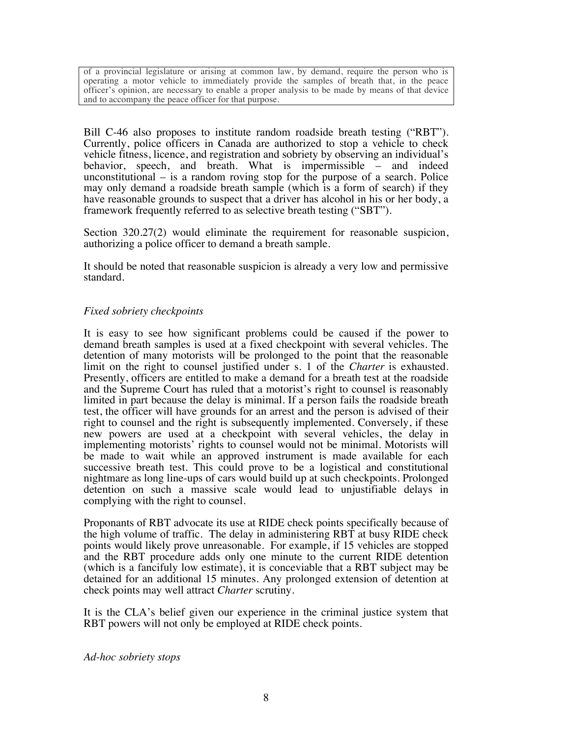of a provincial legislature or arising at common law, by demand, require the person who is operating a motor vehicle to immediately provide the samples of breath that, in the peace officer's opinion, are necessary to enable a proper analysis to be made by means of that device and to accompany the peace officer for that purpose.

Bill C-46 also proposes to institute random roadside breath testing ("RBT"). Currently, police officers in Canada are authorized to stop a vehicle to check vehicle fitness, licence, and registration and sobriety by observing an individual's behavior, speech, and breath. What is impermissible – and indeed unconstitutional – is a random roving stop for the purpose of a search. Police may only demand a roadside breath sample (which is a form of search) if they have reasonable grounds to suspect that a driver has alcohol in his or her body, a framework frequently referred to as selective breath testing ("SBT").

Section 320.27(2) would eliminate the requirement for reasonable suspicion, authorizing a police officer to demand a breath sample.

It should be noted that reasonable suspicion is already a very low and permissive standard.

## *Fixed sobriety checkpoints*

It is easy to see how significant problems could be caused if the power to demand breath samples is used at a fixed checkpoint with several vehicles. The detention of many motorists will be prolonged to the point that the reasonable limit on the right to counsel justified under s. 1 of the *Charter* is exhausted. Presently, officers are entitled to make a demand for a breath test at the roadside and the Supreme Court has ruled that a motorist's right to counsel is reasonably limited in part because the delay is minimal. If a person fails the roadside breath test, the officer will have grounds for an arrest and the person is advised of their right to counsel and the right is subsequently implemented. Conversely, if these new powers are used at a checkpoint with several vehicles, the delay in implementing motorists' rights to counsel would not be minimal. Motorists will be made to wait while an approved instrument is made available for each successive breath test. This could prove to be a logistical and constitutional nightmare as long line-ups of cars would build up at such checkpoints. Prolonged detention on such a massive scale would lead to unjustifiable delays in complying with the right to counsel.

Proponants of RBT advocate its use at RIDE check points specifically because of the high volume of traffic. The delay in administering RBT at busy RIDE check points would likely prove unreasonable. For example, if 15 vehicles are stopped and the RBT procedure adds only one minute to the current RIDE detention (which is a fancifuly low estimate), it is conceviable that a RBT subject may be detained for an additional 15 minutes. Any prolonged extension of detention at check points may well attract *Charter* scrutiny.

It is the CLA's belief given our experience in the criminal justice system that RBT powers will not only be employed at RIDE check points.

*Ad-hoc sobriety stops*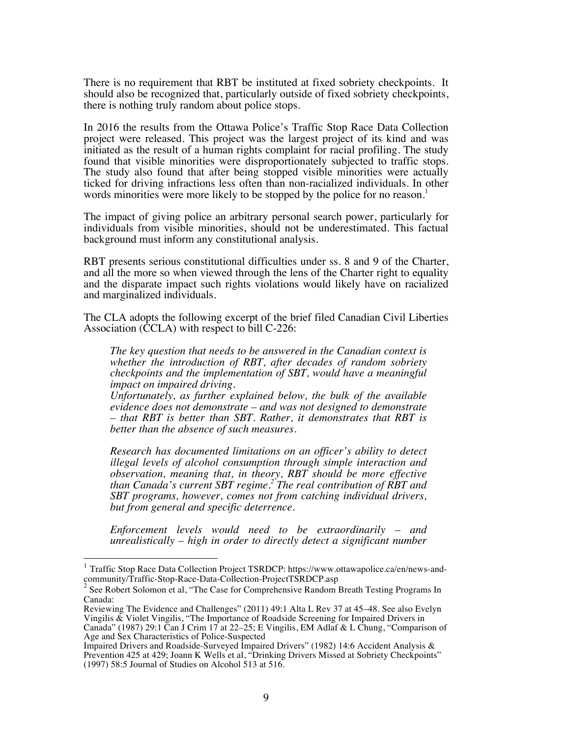There is no requirement that RBT be instituted at fixed sobriety checkpoints. It should also be recognized that, particularly outside of fixed sobriety checkpoints, there is nothing truly random about police stops.

In 2016 the results from the Ottawa Police's Traffic Stop Race Data Collection project were released. This project was the largest project of its kind and was initiated as the result of a human rights complaint for racial profiling. The study found that visible minorities were disproportionately subjected to traffic stops. The study also found that after being stopped visible minorities were actually ticked for driving infractions less often than non-racialized individuals. In other words minorities were more likely to be stopped by the police for no reason.<sup>1</sup>

The impact of giving police an arbitrary personal search power, particularly for individuals from visible minorities, should not be underestimated. This factual background must inform any constitutional analysis.

RBT presents serious constitutional difficulties under ss. 8 and 9 of the Charter, and all the more so when viewed through the lens of the Charter right to equality and the disparate impact such rights violations would likely have on racialized and marginalized individuals.

The CLA adopts the following excerpt of the brief filed Canadian Civil Liberties Association (CCLA) with respect to bill C-226:

*The key question that needs to be answered in the Canadian context is whether the introduction of RBT, after decades of random sobriety checkpoints and the implementation of SBT, would have a meaningful impact on impaired driving.* 

*Unfortunately, as further explained below, the bulk of the available evidence does not demonstrate – and was not designed to demonstrate – that RBT is better than SBT. Rather, it demonstrates that RBT is better than the absence of such measures.*

*Research has documented limitations on an officer's ability to detect illegal levels of alcohol consumption through simple interaction and observation, meaning that, in theory, RBT should be more effective than Canada's current SBT regime.<sup>2</sup> The real contribution of RBT and SBT programs, however, comes not from catching individual drivers, but from general and specific deterrence.* 

*Enforcement levels would need to be extraordinarily – and unrealistically – high in order to directly detect a significant number* 

<sup>&</sup>lt;sup>1</sup> Traffic Stop Race Data Collection Project TSRDCP: https://www.ottawapolice.ca/en/news-and-community/Traffic-Stop-Race-Data-Collection-ProjectTSRDCP.asp

<sup>&</sup>lt;sup>2</sup> See Robert Solomon et al, "The Case for Comprehensive Random Breath Testing Programs In Canada:

Reviewing The Evidence and Challenges" (2011) 49:1 Alta L Rev 37 at 45–48. See also Evelyn Vingilis & Violet Vingilis, "The Importance of Roadside Screening for Impaired Drivers in Canada" (1987) 29:1 Can J Crim 17 at 22–25; E Vingilis, EM Adlaf & L Chung, "Comparison of Age and Sex Characteristics of Police-Suspected

Impaired Drivers and Roadside-Surveyed Impaired Drivers" (1982) 14:6 Accident Analysis & Prevention 425 at 429; Joann K Wells et al, "Drinking Drivers Missed at Sobriety Checkpoints" (1997) 58:5 Journal of Studies on Alcohol 513 at 516.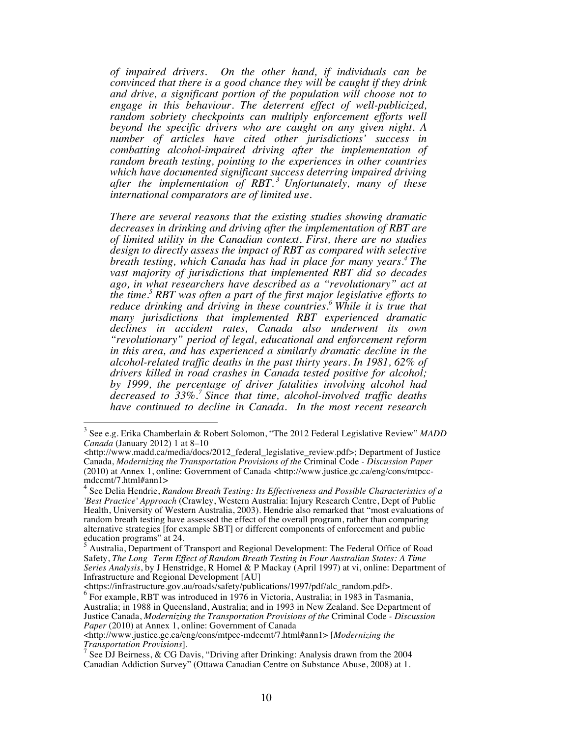*of impaired drivers. On the other hand, if individuals can be convinced that there is a good chance they will be caught if they drink and drive, a significant portion of the population will choose not to engage in this behaviour. The deterrent effect of well-publicized,*  random sobriety checkpoints can multiply enforcement efforts well *beyond the specific drivers who are caught on any given night. A number of articles have cited other jurisdictions' success in combatting alcohol-impaired driving after the implementation of random breath testing, pointing to the experiences in other countries which have documented significant success deterring impaired driving after the implementation of RBT. <sup>3</sup> Unfortunately, many of these international comparators are of limited use.*

*There are several reasons that the existing studies showing dramatic decreases in drinking and driving after the implementation of RBT are of limited utility in the Canadian context. First, there are no studies design to directly assess the impact of RBT as compared with selective breath testing, which Canada has had in place for many years.<sup>4</sup> The vast majority of jurisdictions that implemented RBT did so decades ago, in what researchers have described as a "revolutionary" act at the time.5 RBT was often a part of the first major legislative efforts to reduce drinking and driving in these countries.<sup>6</sup> While it is true that many jurisdictions that implemented RBT experienced dramatic declines in accident rates, Canada also underwent its own "revolutionary" period of legal, educational and enforcement reform in this area, and has experienced a similarly dramatic decline in the alcohol-related traffic deaths in the past thirty years. In 1981, 62% of drivers killed in road crashes in Canada tested positive for alcohol; by 1999, the percentage of driver fatalities involving alcohol had decreased to 33%.<sup>7</sup> Since that time, alcohol-involved traffic deaths have continued to decline in Canada. In the most recent research* 

 <sup>3</sup> See e.g. Erika Chamberlain & Robert Solomon, "The 2012 Federal Legislative Review" *MADD Canada* (January 2012) 1 at 8–10

<sup>&</sup>lt;http://www.madd.ca/media/docs/2012\_federal\_legislative\_review.pdf>; Department of Justice Canada, *Modernizing the Transportation Provisions of the* Criminal Code *- Discussion Paper* (2010) at Annex 1, online: Government of Canada <http://www.justice.gc.ca/eng/cons/mtpcc- mdccmt/7.html#ann1>

<sup>4</sup> See Delia Hendrie, *Random Breath Testing: Its Effectiveness and Possible Characteristics of a 'Best Practice' Approach* (Crawley, Western Australia: Injury Research Centre, Dept of Public Health, University of Western Australia, 2003). Hendrie also remarked that "most evaluations of random breath testing have assessed the effect of the overall program, rather than comparing alternative strategies [for example SBT] or different components of enforcement and public education programs" at 24.

 $<sup>5</sup>$  Australia, Department of Transport and Regional Development: The Federal Office of Road</sup> Safety, *The Long Term Effect of Random Breath Testing in Four Australian States: A Time Series Analysis*, by J Henstridge, R Homel & P Mackay (April 1997) at vi, online: Department of Infrastructure and Regional Development [AU]

<sup>&</sup>lt;https://infrastructure.gov.au/roads/safety/publications/1997/pdf/alc\_random.pdf>.

<sup>&</sup>lt;sup>6</sup> For example, RBT was introduced in 1976 in Victoria, Australia; in 1983 in Tasmania, Australia; in 1988 in Queensland, Australia; and in 1993 in New Zealand. See Department of Justice Canada, *Modernizing the Transportation Provisions of the* Criminal Code *- Discussion Paper* (2010) at Annex 1, online: Government of Canada

<sup>&</sup>lt;http://www.justice.gc.ca/eng/cons/mtpcc-mdccmt/7.html#ann1> [*Modernizing the Transportation Provisions*].

 $^7$  See DJ Beirness, & CG Davis, "Driving after Drinking: Analysis drawn from the 2004 Canadian Addiction Survey" (Ottawa Canadian Centre on Substance Abuse, 2008) at 1.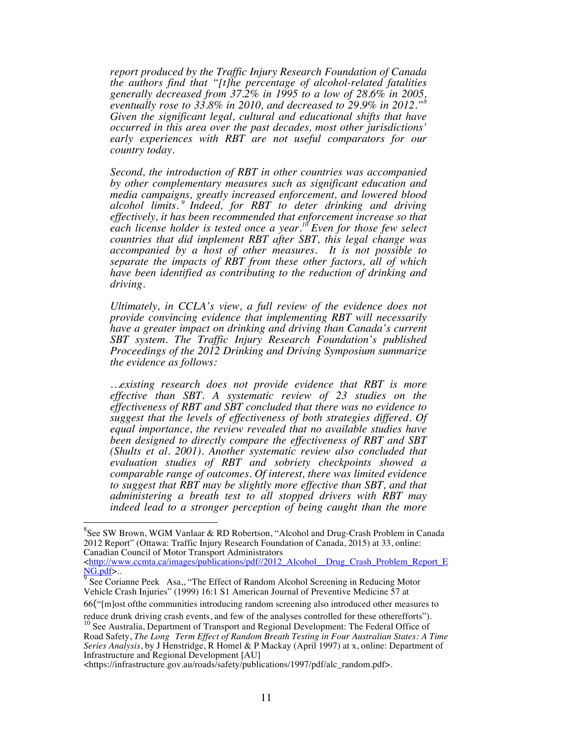*report produced by the Traffic Injury Research Foundation of Canada the authors find that "[t]he percentage of alcohol-related fatalities generally decreased from 37.2% in 1995 to a low of 28.6% in 2005, eventually rose to 33.8% in 2010, and decreased to 29.9% in 2012."8 Given the significant legal, cultural and educational shifts that have occurred in this area over the past decades, most other jurisdictions' early experiences with RBT are not useful comparators for our country today.*

*Second, the introduction of RBT in other countries was accompanied by other complementary measures such as significant education and media campaigns, greatly increased enforcement, and lowered blood alcohol limits. <sup>9</sup> Indeed, for RBT to deter drinking and driving effectively, it has been recommended that enforcement increase so that each license holder is tested once a year.10 Even for those few select countries that did implement RBT after SBT, this legal change was accompanied by a host of other measures. It is not possible to separate the impacts of RBT from these other factors, all of which have been identified as contributing to the reduction of drinking and driving.*

*Ultimately, in CCLA's view, a full review of the evidence does not provide convincing evidence that implementing RBT will necessarily have a greater impact on drinking and driving than Canada's current SBT system. The Traffic Injury Research Foundation's published Proceedings of the 2012 Drinking and Driving Symposium summarize the evidence as follows:*

*…existing research does not provide evidence that RBT is more effective than SBT. A systematic review of 23 studies on the effectiveness of RBT and SBT concluded that there was no evidence to suggest that the levels of effectiveness of both strategies differed. Of equal importance, the review revealed that no available studies have been designed to directly compare the effectiveness of RBT and SBT (Shults et al. 2001). Another systematic review also concluded that evaluation studies of RBT and sobriety checkpoints showed a comparable range of outcomes. Of interest, there was limited evidence to suggest that RBT may be slightly more effective than SBT, and that administering a breath test to all stopped drivers with RBT may indeed lead to a stronger perception of being caught than the more* 

<http://www.ccmta.ca/images/publications/pdf//2012\_Alcohol\_\_Drug\_Crash\_Problem\_Report\_E NG.pdf>..

66("[m]ost ofthe communities introducing random screening also introduced other measures to

 <sup>8</sup> <sup>8</sup>See SW Brown, WGM Vanlaar & RD Robertson, "Alcohol and Drug-Crash Problem in Canada 2012 Report" (Ottawa: Traffic Injury Research Foundation of Canada, 2015) at 33, online: Canadian Council of Motor Transport Administrators

 $9\overline{9}$  See Corianne Peek Asa,, "The Effect of Random Alcohol Screening in Reducing Motor Vehicle Crash Injuries" (1999) 16:1 S1 American Journal of Preventive Medicine 57 at

reduce drunk driving crash events, and few of the analyses controlled for these otherefforts"). <sup>10</sup> See Australia, Department of Transport and Regional Development: The Federal Office of Road Safety, *The Long Term Effect of Random Breath Testing in Four Australian States: A Time Series Analysis*, by J Henstridge, R Homel & P Mackay (April 1997) at x, online: Department of Infrastructure and Regional Development [AU]

<sup>&</sup>lt;https://infrastructure.gov.au/roads/safety/publications/1997/pdf/alc\_random.pdf>.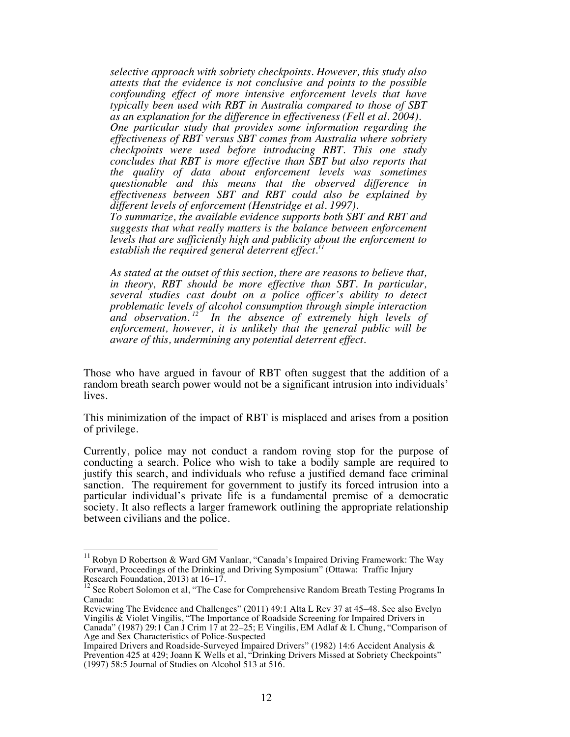*selective approach with sobriety checkpoints. However, this study also attests that the evidence is not conclusive and points to the possible confounding effect of more intensive enforcement levels that have typically been used with RBT in Australia compared to those of SBT as an explanation for the difference in effectiveness (Fell et al. 2004). One particular study that provides some information regarding the effectiveness of RBT versus SBT comes from Australia where sobriety checkpoints were used before introducing RBT. This one study concludes that RBT is more effective than SBT but also reports that the quality of data about enforcement levels was sometimes questionable and this means that the observed difference in effectiveness between SBT and RBT could also be explained by different levels of enforcement (Henstridge et al. 1997).* 

*To summarize, the available evidence supports both SBT and RBT and suggests that what really matters is the balance between enforcement levels that are sufficiently high and publicity about the enforcement to establish the required general deterrent effect.11*

*As stated at the outset of this section, there are reasons to believe that, in theory, RBT should be more effective than SBT. In particular, several studies cast doubt on a police officer's ability to detect problematic levels of alcohol consumption through simple interaction and observation. 12 In the absence of extremely high levels of enforcement, however, it is unlikely that the general public will be aware of this, undermining any potential deterrent effect.* 

Those who have argued in favour of RBT often suggest that the addition of a random breath search power would not be a significant intrusion into individuals' lives.

This minimization of the impact of RBT is misplaced and arises from a position of privilege.

Currently, police may not conduct a random roving stop for the purpose of conducting a search. Police who wish to take a bodily sample are required to justify this search, and individuals who refuse a justified demand face criminal sanction. The requirement for government to justify its forced intrusion into a particular individual's private life is a fundamental premise of a democratic society. It also reflects a larger framework outlining the appropriate relationship between civilians and the police.

 $11$  Robyn D Robertson & Ward GM Vanlaar, "Canada's Impaired Driving Framework: The Way Forward, Proceedings of the Drinking and Driving Symposium" (Ottawa: Traffic Injury Research Foundation, 2013) at 16–17.

<sup>&</sup>lt;sup>12</sup> See Robert Solomon et al, "The Case for Comprehensive Random Breath Testing Programs In Canada:

Reviewing The Evidence and Challenges" (2011) 49:1 Alta L Rev 37 at 45–48. See also Evelyn Vingilis & Violet Vingilis, "The Importance of Roadside Screening for Impaired Drivers in Canada" (1987) 29:1 Can J Crim 17 at 22–25; E Vingilis, EM Adlaf & L Chung, "Comparison of Age and Sex Characteristics of Police-Suspected

Impaired Drivers and Roadside-Surveyed Impaired Drivers" (1982) 14:6 Accident Analysis & Prevention 425 at 429; Joann K Wells et al, "Drinking Drivers Missed at Sobriety Checkpoints" (1997) 58:5 Journal of Studies on Alcohol 513 at 516.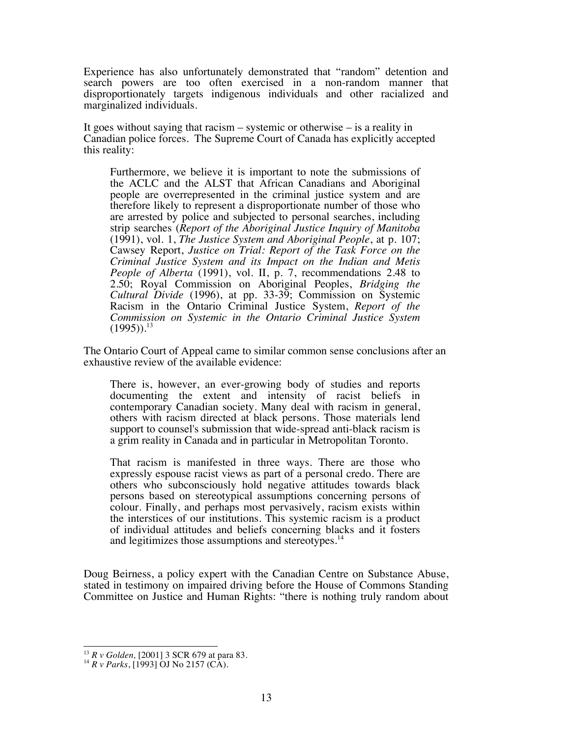Experience has also unfortunately demonstrated that "random" detention and search powers are too often exercised in a non-random manner that disproportionately targets indigenous individuals and other racialized and marginalized individuals.

It goes without saying that racism – systemic or otherwise – is a reality in Canadian police forces. The Supreme Court of Canada has explicitly accepted this reality:

Furthermore, we believe it is important to note the submissions of the ACLC and the ALST that African Canadians and Aboriginal people are overrepresented in the criminal justice system and are therefore likely to represent a disproportionate number of those who are arrested by police and subjected to personal searches, including strip searches (*Report of the Aboriginal Justice Inquiry of Manitoba* (1991), vol. 1, *The Justice System and Aboriginal People*, at p. 107; Cawsey Report, *Justice on Trial: Report of the Task Force on the Criminal Justice System and its Impact on the Indian and Metis People of Alberta* (1991), vol. II, p. 7, recommendations 2.48 to 2.50; Royal Commission on Aboriginal Peoples, *Bridging the Cultural Divide* (1996), at pp. 33-39; Commission on Systemic Racism in the Ontario Criminal Justice System, *Report of the Commission on Systemic in the Ontario Criminal Justice System*  $(1995)$ <sup>13</sup>

The Ontario Court of Appeal came to similar common sense conclusions after an exhaustive review of the available evidence:

There is, however, an ever-growing body of studies and reports documenting the extent and intensity of racist beliefs in contemporary Canadian society. Many deal with racism in general, others with racism directed at black persons. Those materials lend support to counsel's submission that wide-spread anti-black racism is a grim reality in Canada and in particular in Metropolitan Toronto.

That racism is manifested in three ways. There are those who expressly espouse racist views as part of a personal credo. There are others who subconsciously hold negative attitudes towards black persons based on stereotypical assumptions concerning persons of colour. Finally, and perhaps most pervasively, racism exists within the interstices of our institutions. This systemic racism is a product of individual attitudes and beliefs concerning blacks and it fosters and legitimizes those assumptions and stereotypes.<sup>14</sup>

Doug Beirness, a policy expert with the Canadian Centre on Substance Abuse, stated in testimony on impaired driving before the House of Commons Standing Committee on Justice and Human Rights: "there is nothing truly random about

<sup>13</sup> *R v Golden,* [2001] 3 SCR 679 at para 83. <sup>14</sup> *R v Parks*, [1993] OJ No 2157 (CA).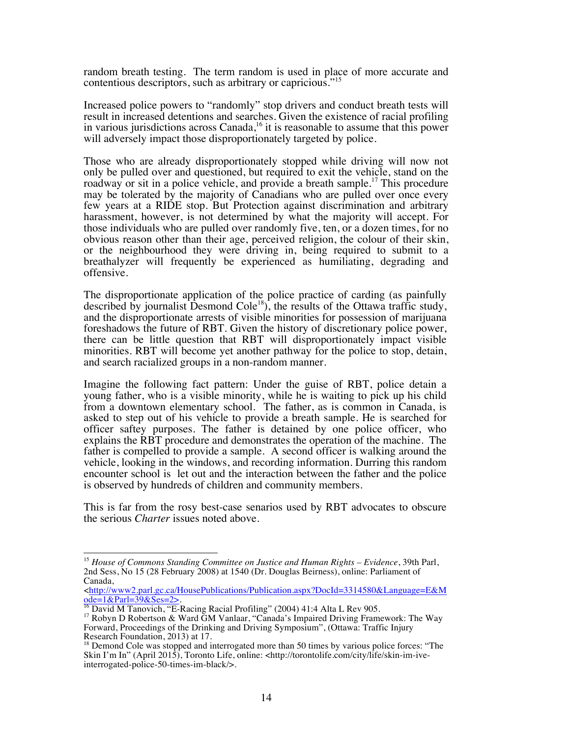random breath testing. The term random is used in place of more accurate and contentious descriptors, such as arbitrary or capricious."<sup>15</sup>

Increased police powers to "randomly" stop drivers and conduct breath tests will result in increased detentions and searches. Given the existence of racial profiling in various jurisdictions across Canada,<sup>16</sup> it is reasonable to assume that this power will adversely impact those disproportionately targeted by police.

Those who are already disproportionately stopped while driving will now not only be pulled over and questioned, but required to exit the vehicle, stand on the roadway or sit in a police vehicle, and provide a breath sample.<sup>17</sup> This procedure may be tolerated by the majority of Canadians who are pulled over once every few years at a RIDE stop. But Protection against discrimination and arbitrary harassment, however, is not determined by what the majority will accept. For those individuals who are pulled over randomly five, ten, or a dozen times, for no obvious reason other than their age, perceived religion, the colour of their skin, or the neighbourhood they were driving in, being required to submit to a breathalyzer will frequently be experienced as humiliating, degrading and offensive.

The disproportionate application of the police practice of carding (as painfully described by journalist Desmond Cole<sup>18</sup>), the results of the Ottawa traffic study, and the disproportionate arrests of visible minorities for possession of marijuana foreshadows the future of RBT. Given the history of discretionary police power, there can be little question that RBT will disproportionately impact visible minorities. RBT will become yet another pathway for the police to stop, detain, and search racialized groups in a non-random manner.

Imagine the following fact pattern: Under the guise of RBT, police detain a young father, who is a visible minority, while he is waiting to pick up his child from a downtown elementary school. The father, as is common in Canada, is asked to step out of his vehicle to provide a breath sample. He is searched for officer saftey purposes. The father is detained by one police officer, who explains the RBT procedure and demonstrates the operation of the machine. The father is compelled to provide a sample. A second officer is walking around the vehicle, looking in the windows, and recording information. Durring this random encounter school is let out and the interaction between the father and the police is observed by hundreds of children and community members.

This is far from the rosy best-case senarios used by RBT advocates to obscure the serious *Charter* issues noted above.

 <sup>15</sup> *House of Commons Standing Committee on Justice and Human Rights – Evidence*, 39th Parl, 2nd Sess, No 15 (28 February 2008) at 1540 (Dr. Douglas Beirness), online: Parliament of Canada,

<sup>&</sup>lt;http://www2.parl.gc.ca/HousePublications/Publication.aspx?DocId=3314580&Language=E&M <u>ode=1&Parl=39&Ses=2></u>.<br><sup>16</sup> David M Tanovich, "E-Racing Racial Profiling" (2004) 41:4 Alta L Rev 905.<br><sup>17</sup> Robyn D Robertson & Ward GM Vanlaar, "Canada's Impaired Driving Framework: The Way

<sup>&</sup>lt;sup>17</sup> Robyn D Robertson & Ward  $\tilde{G}M$  Vanlaar, "Canada's Impaired Driving Framework: The Way Forward, Proceedings of the Drinking and Driving Symposium", (Ottawa: Traffic Injury Research Foundation, 2013) at 17.

Research Foundation, 2013) at 18 Demond Cole was stopped and interrogated more than 50 times by various police forces: "The Skin I'm In" (April 2015), Toronto Life, online: <http://torontolife.com/city/life/skin-im-iveinterrogated-police-50-times-im-black/>.